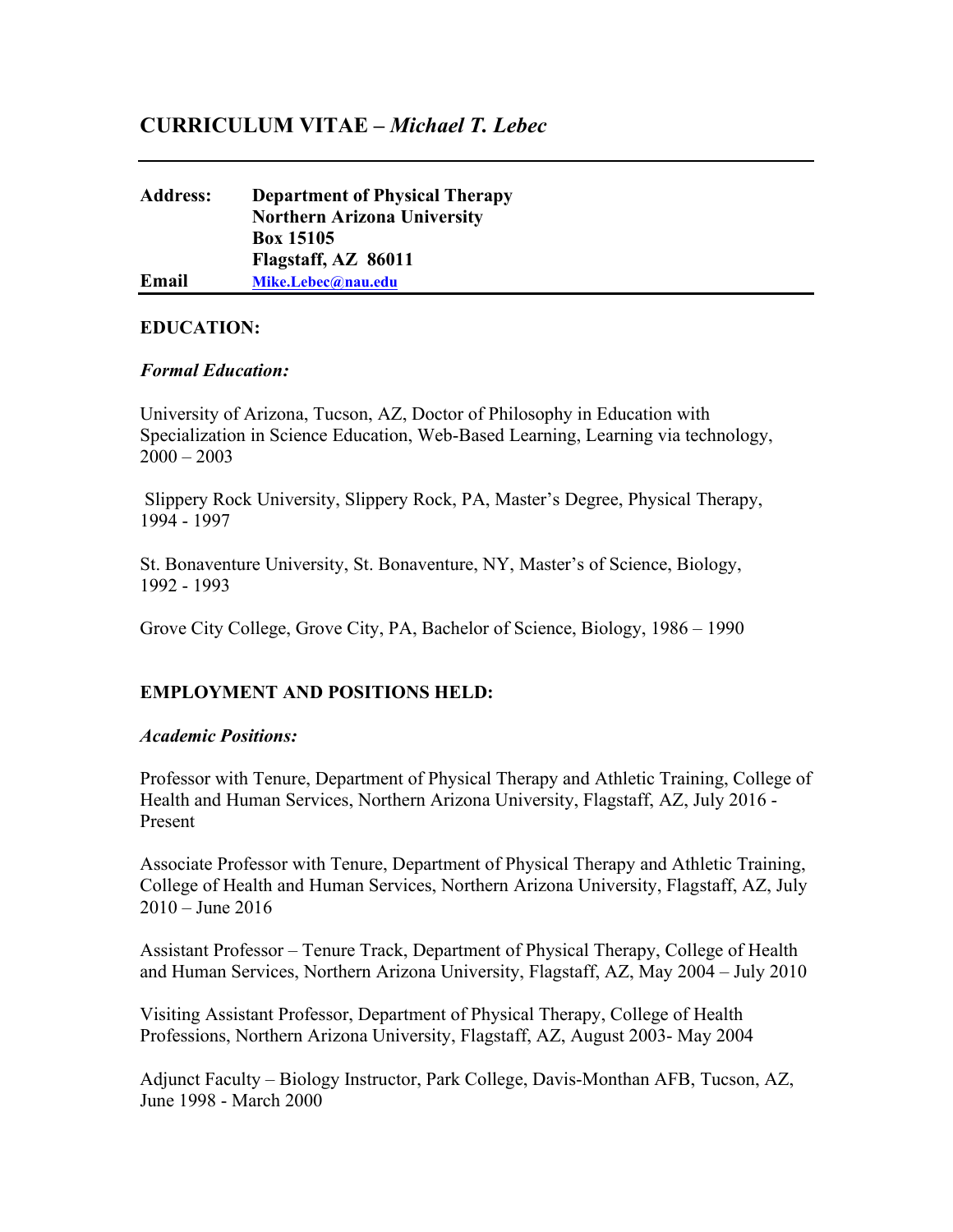# **CURRICULUM VITAE –** *Michael T. Lebec*

## **Address: Department of Physical Therapy Northern Arizona University Box 15105 Flagstaff, AZ 86011 Email [Mike.Lebec@nau.edu](mailto:Mike.Lebec@nau.edu)**

### **EDUCATION:**

### *Formal Education:*

University of Arizona, Tucson, AZ, Doctor of Philosophy in Education with Specialization in Science Education, Web-Based Learning, Learning via technology,  $2000 - 2003$ 

Slippery Rock University, Slippery Rock, PA, Master's Degree, Physical Therapy, 1994 - 1997

St. Bonaventure University, St. Bonaventure, NY, Master's of Science, Biology, 1992 - 1993

Grove City College, Grove City, PA, Bachelor of Science, Biology, 1986 – 1990

## **EMPLOYMENT AND POSITIONS HELD:**

#### *Academic Positions:*

Professor with Tenure, Department of Physical Therapy and Athletic Training, College of Health and Human Services, Northern Arizona University, Flagstaff, AZ, July 2016 - Present

Associate Professor with Tenure, Department of Physical Therapy and Athletic Training, College of Health and Human Services, Northern Arizona University, Flagstaff, AZ, July 2010 – June 2016

Assistant Professor – Tenure Track, Department of Physical Therapy, College of Health and Human Services, Northern Arizona University, Flagstaff, AZ, May 2004 – July 2010

Visiting Assistant Professor, Department of Physical Therapy, College of Health Professions, Northern Arizona University, Flagstaff, AZ, August 2003- May 2004

Adjunct Faculty – Biology Instructor, Park College, Davis-Monthan AFB, Tucson, AZ, June 1998 - March 2000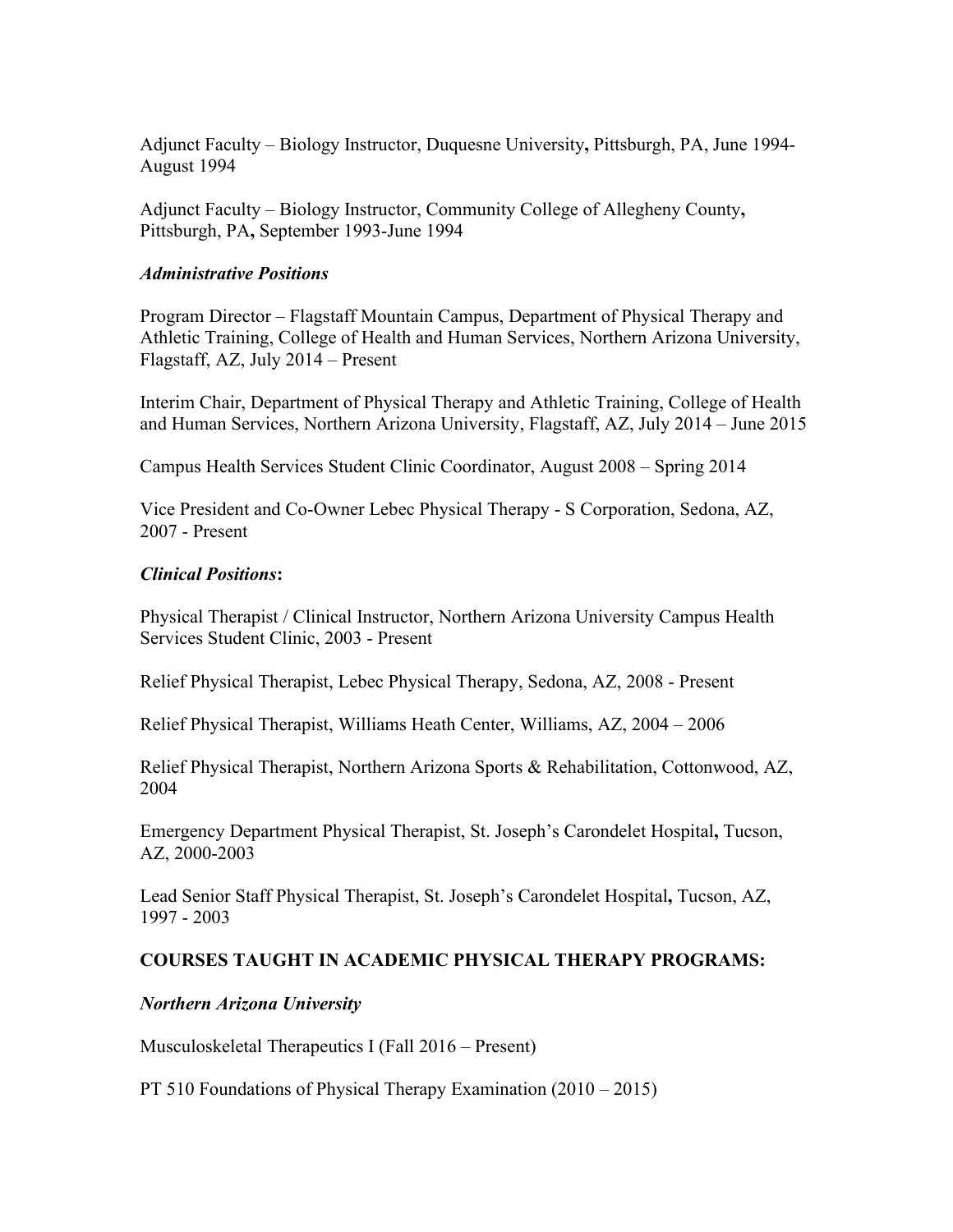Adjunct Faculty – Biology Instructor, Duquesne University**,** Pittsburgh, PA, June 1994- August 1994

Adjunct Faculty – Biology Instructor, Community College of Allegheny County**,**  Pittsburgh, PA**,** September 1993-June 1994

#### *Administrative Positions*

Program Director – Flagstaff Mountain Campus, Department of Physical Therapy and Athletic Training, College of Health and Human Services, Northern Arizona University, Flagstaff, AZ, July 2014 – Present

Interim Chair, Department of Physical Therapy and Athletic Training, College of Health and Human Services, Northern Arizona University, Flagstaff, AZ, July 2014 – June 2015

Campus Health Services Student Clinic Coordinator, August 2008 – Spring 2014

Vice President and Co-Owner Lebec Physical Therapy - S Corporation, Sedona, AZ, 2007 - Present

### *Clinical Positions***:**

Physical Therapist / Clinical Instructor, Northern Arizona University Campus Health Services Student Clinic, 2003 - Present

Relief Physical Therapist, Lebec Physical Therapy, Sedona, AZ, 2008 - Present

Relief Physical Therapist, Williams Heath Center, Williams, AZ, 2004 – 2006

Relief Physical Therapist, Northern Arizona Sports & Rehabilitation, Cottonwood, AZ, 2004

Emergency Department Physical Therapist, St. Joseph's Carondelet Hospital**,** Tucson, AZ, 2000-2003

Lead Senior Staff Physical Therapist, St. Joseph's Carondelet Hospital**,** Tucson, AZ, 1997 - 2003

### **COURSES TAUGHT IN ACADEMIC PHYSICAL THERAPY PROGRAMS:**

### *Northern Arizona University*

Musculoskeletal Therapeutics I (Fall 2016 – Present)

PT 510 Foundations of Physical Therapy Examination (2010 – 2015)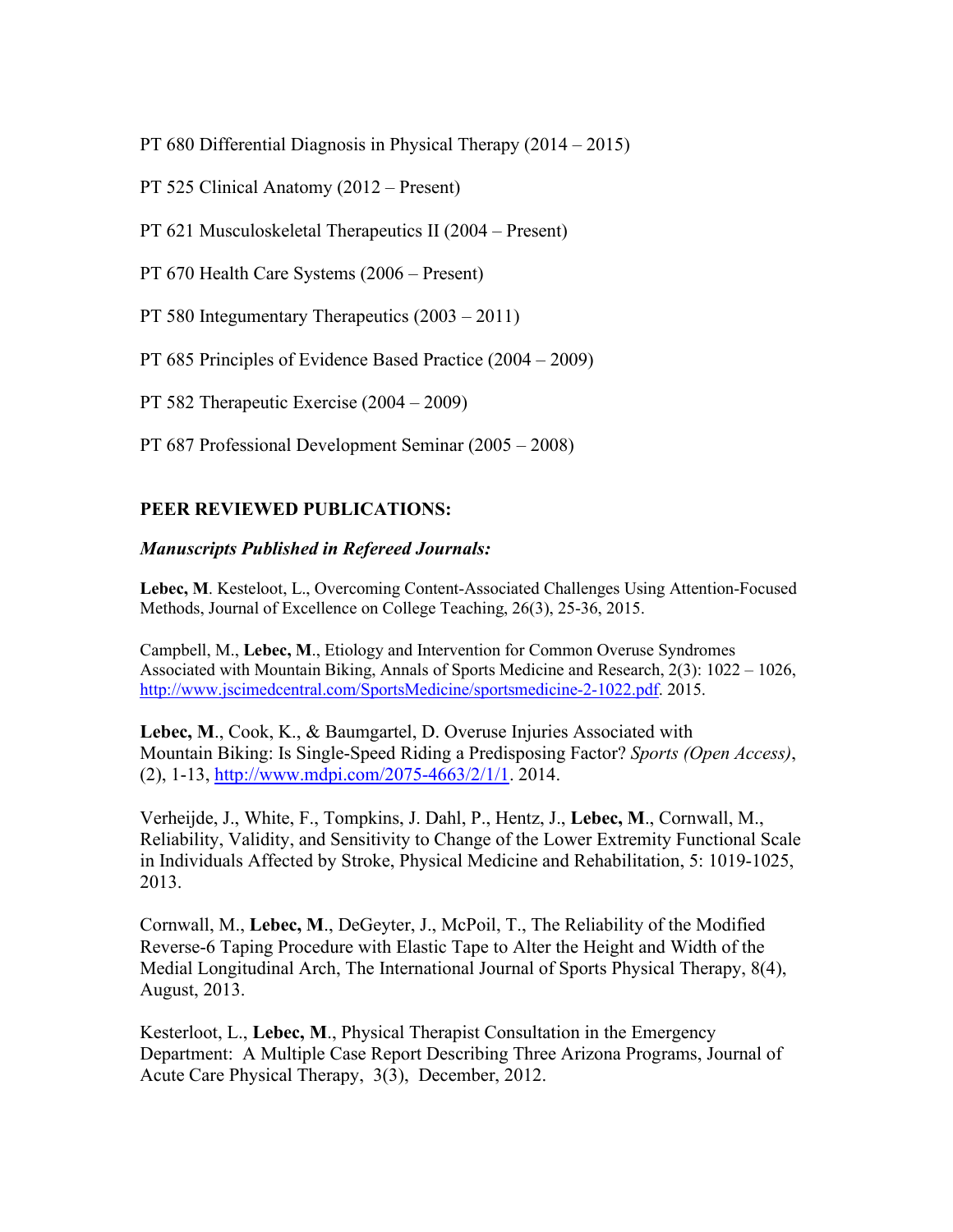PT 680 Differential Diagnosis in Physical Therapy (2014 – 2015)

- PT 525 Clinical Anatomy (2012 Present)
- PT 621 Musculoskeletal Therapeutics II (2004 Present)
- PT 670 Health Care Systems (2006 Present)
- PT 580 Integumentary Therapeutics (2003 2011)
- PT 685 Principles of Evidence Based Practice (2004 2009)

PT 582 Therapeutic Exercise (2004 – 2009)

PT 687 Professional Development Seminar (2005 – 2008)

## **PEER REVIEWED PUBLICATIONS:**

### *Manuscripts Published in Refereed Journals:*

**Lebec, M**. Kesteloot, L., Overcoming Content-Associated Challenges Using Attention-Focused Methods, Journal of Excellence on College Teaching, 26(3), 25-36, 2015.

Campbell, M., **Lebec, M**., Etiology and Intervention for Common Overuse Syndromes Associated with Mountain Biking, Annals of Sports Medicine and Research, 2(3): 1022 – 1026, [http://www.jscimedcentral.com/SportsMedicine/sportsmedicine-2-1022.pdf.](http://www.jscimedcentral.com/SportsMedicine/sportsmedicine-2-1022.pdf) 2015.

**Lebec, M**., Cook, K., & Baumgartel, D. Overuse Injuries Associated with Mountain Biking: Is Single-Speed Riding a Predisposing Factor? *Sports (Open Access)*, (2), 1-13, [http://www.mdpi.com/2075-4663/2/1/1.](http://www.mdpi.com/2075-4663/2/1/1) 2014.

Verheijde, J., White, F., Tompkins, J. Dahl, P., Hentz, J., **Lebec, M**., Cornwall, M., Reliability, Validity, and Sensitivity to Change of the Lower Extremity Functional Scale in Individuals Affected by Stroke, Physical Medicine and Rehabilitation, 5: 1019-1025, 2013.

Cornwall, M., **Lebec, M**., DeGeyter, J., McPoil, T., The Reliability of the Modified Reverse-6 Taping Procedure with Elastic Tape to Alter the Height and Width of the Medial Longitudinal Arch, The International Journal of Sports Physical Therapy, 8(4), August, 2013.

Kesterloot, L., **Lebec, M**., Physical Therapist Consultation in the Emergency Department: A Multiple Case Report Describing Three Arizona Programs, Journal of Acute Care Physical Therapy, 3(3), December, 2012.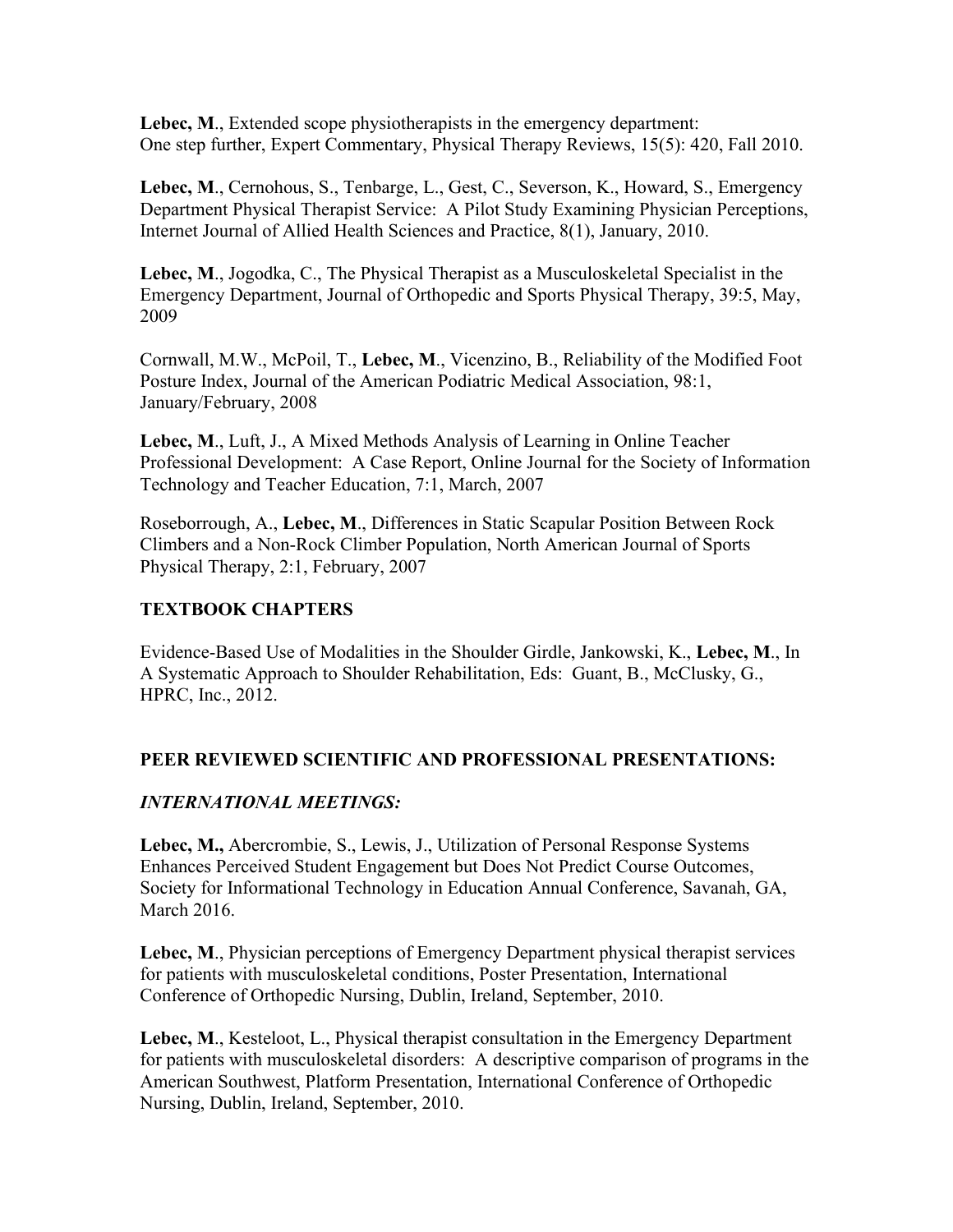**Lebec, M**., Extended scope physiotherapists in the emergency department: One step further, Expert Commentary, Physical Therapy Reviews, 15(5): 420, Fall 2010.

**Lebec, M**., Cernohous, S., Tenbarge, L., Gest, C., Severson, K., Howard, S., Emergency Department Physical Therapist Service: A Pilot Study Examining Physician Perceptions, Internet Journal of Allied Health Sciences and Practice, 8(1), January, 2010.

**Lebec, M**., Jogodka, C., The Physical Therapist as a Musculoskeletal Specialist in the Emergency Department, Journal of Orthopedic and Sports Physical Therapy, 39:5, May, 2009

Cornwall, M.W., McPoil, T., **Lebec, M**., Vicenzino, B., Reliability of the Modified Foot Posture Index, Journal of the American Podiatric Medical Association, 98:1, January/February, 2008

**Lebec, M**., Luft, J., A Mixed Methods Analysis of Learning in Online Teacher Professional Development: A Case Report, Online Journal for the Society of Information Technology and Teacher Education, 7:1, March, 2007

Roseborrough, A., **Lebec, M**., Differences in Static Scapular Position Between Rock Climbers and a Non-Rock Climber Population, North American Journal of Sports Physical Therapy, 2:1, February, 2007

# **TEXTBOOK CHAPTERS**

Evidence-Based Use of Modalities in the Shoulder Girdle, Jankowski, K., **Lebec, M**., In A Systematic Approach to Shoulder Rehabilitation, Eds: Guant, B., McClusky, G., HPRC, Inc., 2012.

## **PEER REVIEWED SCIENTIFIC AND PROFESSIONAL PRESENTATIONS:**

## *INTERNATIONAL MEETINGS:*

**Lebec, M.,** Abercrombie, S., Lewis, J., Utilization of Personal Response Systems Enhances Perceived Student Engagement but Does Not Predict Course Outcomes, Society for Informational Technology in Education Annual Conference, Savanah, GA, March 2016.

**Lebec, M**., Physician perceptions of Emergency Department physical therapist services for patients with musculoskeletal conditions, Poster Presentation, International Conference of Orthopedic Nursing, Dublin, Ireland, September, 2010.

**Lebec, M**., Kesteloot, L., Physical therapist consultation in the Emergency Department for patients with musculoskeletal disorders: A descriptive comparison of programs in the American Southwest, Platform Presentation, International Conference of Orthopedic Nursing, Dublin, Ireland, September, 2010.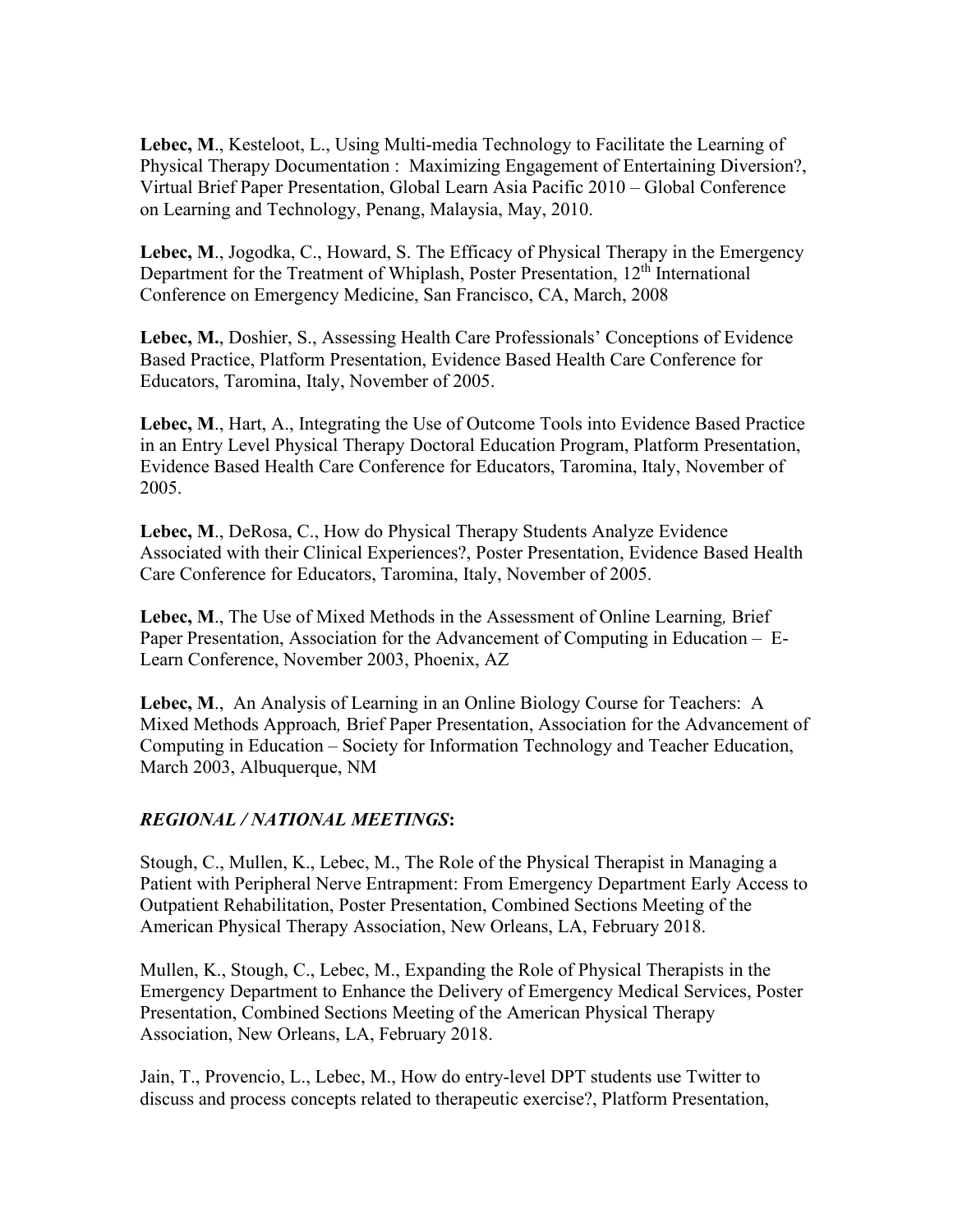**Lebec, M**., Kesteloot, L., Using Multi-media Technology to Facilitate the Learning of Physical Therapy Documentation : Maximizing Engagement of Entertaining Diversion?, Virtual Brief Paper Presentation, Global Learn Asia Pacific 2010 – Global Conference on Learning and Technology, Penang, Malaysia, May, 2010.

**Lebec, M**., Jogodka, C., Howard, S. The Efficacy of Physical Therapy in the Emergency Department for the Treatment of Whiplash, Poster Presentation, 12<sup>th</sup> International Conference on Emergency Medicine, San Francisco, CA, March, 2008

**Lebec, M.**, Doshier, S., Assessing Health Care Professionals' Conceptions of Evidence Based Practice, Platform Presentation, Evidence Based Health Care Conference for Educators, Taromina, Italy, November of 2005.

**Lebec, M**., Hart, A., Integrating the Use of Outcome Tools into Evidence Based Practice in an Entry Level Physical Therapy Doctoral Education Program, Platform Presentation, Evidence Based Health Care Conference for Educators, Taromina, Italy, November of 2005.

**Lebec, M**., DeRosa, C., How do Physical Therapy Students Analyze Evidence Associated with their Clinical Experiences?, Poster Presentation, Evidence Based Health Care Conference for Educators, Taromina, Italy, November of 2005.

**Lebec, M**., The Use of Mixed Methods in the Assessment of Online Learning*,* Brief Paper Presentation, Association for the Advancement of Computing in Education – E-Learn Conference, November 2003, Phoenix, AZ

**Lebec, M**., An Analysis of Learning in an Online Biology Course for Teachers: A Mixed Methods Approach*,* Brief Paper Presentation, Association for the Advancement of Computing in Education – Society for Information Technology and Teacher Education, March 2003, Albuquerque, NM

## *REGIONAL / NATIONAL MEETINGS***:**

Stough, C., Mullen, K., Lebec, M., The Role of the Physical Therapist in Managing a Patient with Peripheral Nerve Entrapment: From Emergency Department Early Access to Outpatient Rehabilitation, Poster Presentation, Combined Sections Meeting of the American Physical Therapy Association, New Orleans, LA, February 2018.

Mullen, K., Stough, C., Lebec, M., Expanding the Role of Physical Therapists in the Emergency Department to Enhance the Delivery of Emergency Medical Services, Poster Presentation, Combined Sections Meeting of the American Physical Therapy Association, New Orleans, LA, February 2018.

Jain, T., Provencio, L., Lebec, M., How do entry-level DPT students use Twitter to discuss and process concepts related to therapeutic exercise?, Platform Presentation,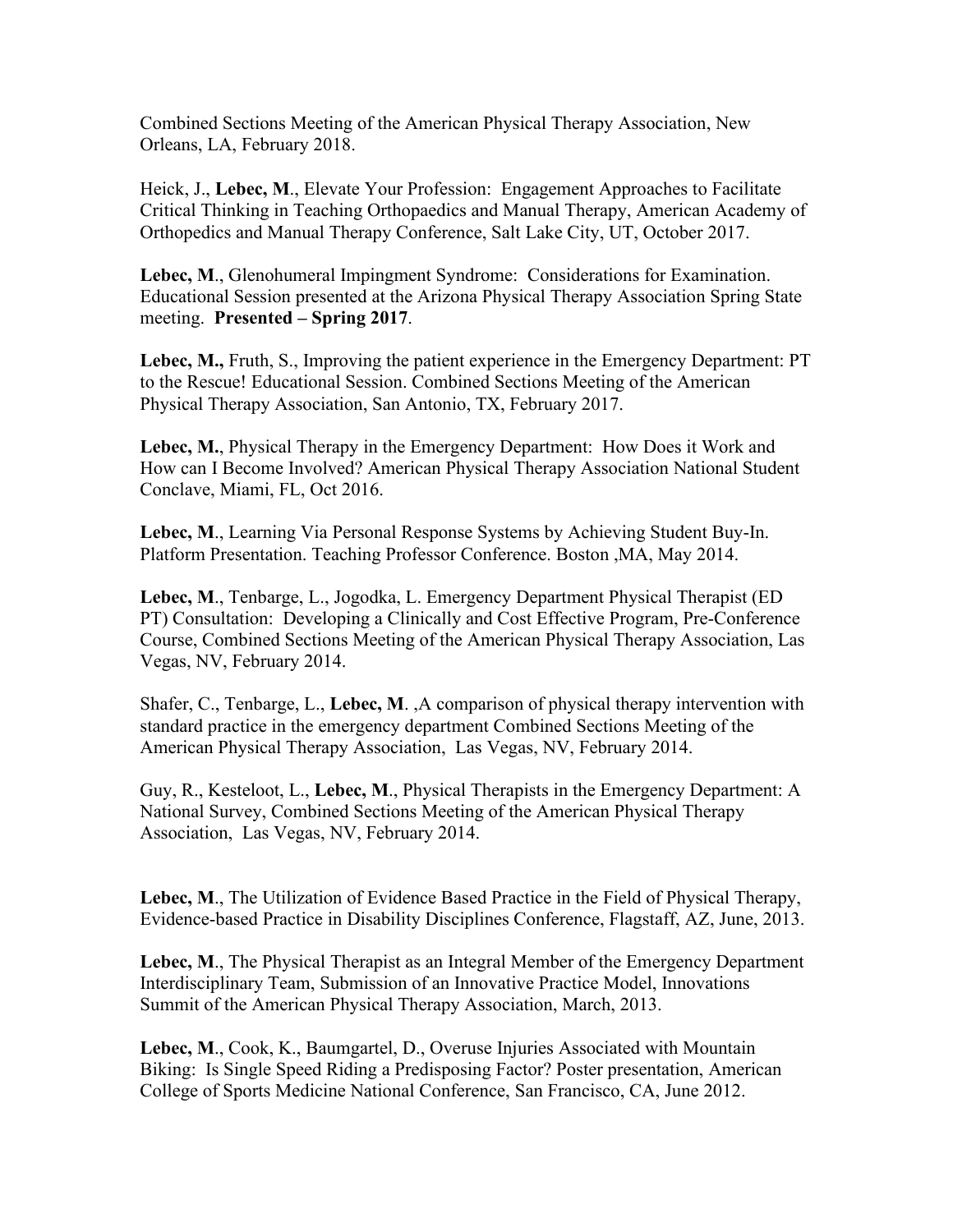Combined Sections Meeting of the American Physical Therapy Association, New Orleans, LA, February 2018.

Heick, J., **Lebec, M**., Elevate Your Profession: Engagement Approaches to Facilitate Critical Thinking in Teaching Orthopaedics and Manual Therapy, American Academy of Orthopedics and Manual Therapy Conference, Salt Lake City, UT, October 2017.

**Lebec, M**., Glenohumeral Impingment Syndrome: Considerations for Examination. Educational Session presented at the Arizona Physical Therapy Association Spring State meeting. **Presented – Spring 2017**.

**Lebec, M.,** Fruth, S., Improving the patient experience in the Emergency Department: PT to the Rescue! Educational Session. Combined Sections Meeting of the American Physical Therapy Association, San Antonio, TX, February 2017.

**Lebec, M.**, Physical Therapy in the Emergency Department: How Does it Work and How can I Become Involved? American Physical Therapy Association National Student Conclave, Miami, FL, Oct 2016.

**Lebec, M**., [Learning Via Personal Response Systems by Achieving Student Buy-In.](https://www.faculty180.com/cv/Personal_Report.php) Platform Presentation. Teaching Professor Conference. Boston ,MA, May 2014.

**Lebec, M**., Tenbarge, L., Jogodka, L. Emergency Department Physical Therapist (ED PT) Consultation: Developing a Clinically and Cost Effective Program, Pre-Conference Course, Combined Sections Meeting of the American Physical Therapy Association, Las Vegas, NV, February 2014.

Shafer, C., Tenbarge, L., **Lebec, M**. ,A comparison of physical therapy intervention with standard practice in the emergency department Combined Sections Meeting of the American Physical Therapy Association, Las Vegas, NV, February 2014.

Guy, R., Kesteloot, L., **Lebec, M**., Physical Therapists in the Emergency Department: A National Survey, Combined Sections Meeting of the American Physical Therapy Association, Las Vegas, NV, February 2014.

**Lebec, M**., The Utilization of Evidence Based Practice in the Field of Physical Therapy, Evidence-based Practice in Disability Disciplines Conference, Flagstaff, AZ, June, 2013.

**Lebec, M**., The Physical Therapist as an Integral Member of the Emergency Department Interdisciplinary Team, Submission of an Innovative Practice Model, Innovations Summit of the American Physical Therapy Association, March, 2013.

**Lebec, M**., Cook, K., Baumgartel, D., Overuse Injuries Associated with Mountain Biking: Is Single Speed Riding a Predisposing Factor? Poster presentation, American College of Sports Medicine National Conference, San Francisco, CA, June 2012.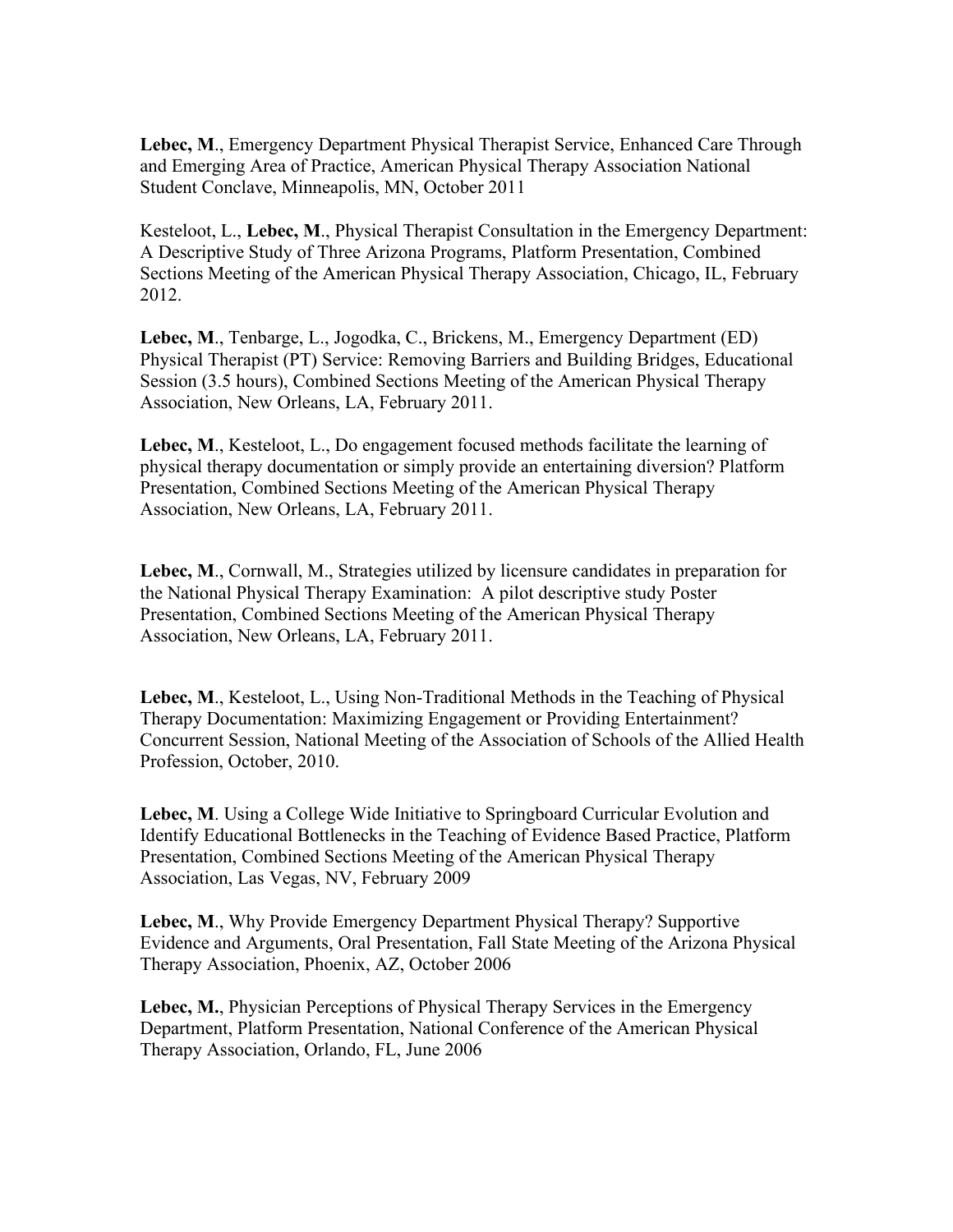**Lebec, M**., Emergency Department Physical Therapist Service, Enhanced Care Through and Emerging Area of Practice, American Physical Therapy Association National Student Conclave, Minneapolis, MN, October 2011

Kesteloot, L., **Lebec, M**., Physical Therapist Consultation in the Emergency Department: A Descriptive Study of Three Arizona Programs, Platform Presentation, Combined Sections Meeting of the American Physical Therapy Association, Chicago, IL, February 2012.

**Lebec, M**., Tenbarge, L., Jogodka, C., Brickens, M., Emergency Department (ED) Physical Therapist (PT) Service: Removing Barriers and Building Bridges, Educational Session (3.5 hours), Combined Sections Meeting of the American Physical Therapy Association, New Orleans, LA, February 2011.

**Lebec, M**., Kesteloot, L., Do engagement focused methods facilitate the learning of physical therapy documentation or simply provide an entertaining diversion? Platform Presentation, Combined Sections Meeting of the American Physical Therapy Association, New Orleans, LA, February 2011.

**Lebec, M**., Cornwall, M., Strategies utilized by licensure candidates in preparation for the National Physical Therapy Examination: A pilot descriptive study Poster Presentation, Combined Sections Meeting of the American Physical Therapy Association, New Orleans, LA, February 2011.

**Lebec, M**., Kesteloot, L., Using Non-Traditional Methods in the Teaching of Physical Therapy Documentation: Maximizing Engagement or Providing Entertainment? Concurrent Session, National Meeting of the Association of Schools of the Allied Health Profession, October, 2010.

**Lebec, M**. Using a College Wide Initiative to Springboard Curricular Evolution and Identify Educational Bottlenecks in the Teaching of Evidence Based Practice, Platform Presentation, Combined Sections Meeting of the American Physical Therapy Association, Las Vegas, NV, February 2009

**Lebec, M**., Why Provide Emergency Department Physical Therapy? Supportive Evidence and Arguments, Oral Presentation, Fall State Meeting of the Arizona Physical Therapy Association, Phoenix, AZ, October 2006

**Lebec, M.**, Physician Perceptions of Physical Therapy Services in the Emergency Department, Platform Presentation, National Conference of the American Physical Therapy Association, Orlando, FL, June 2006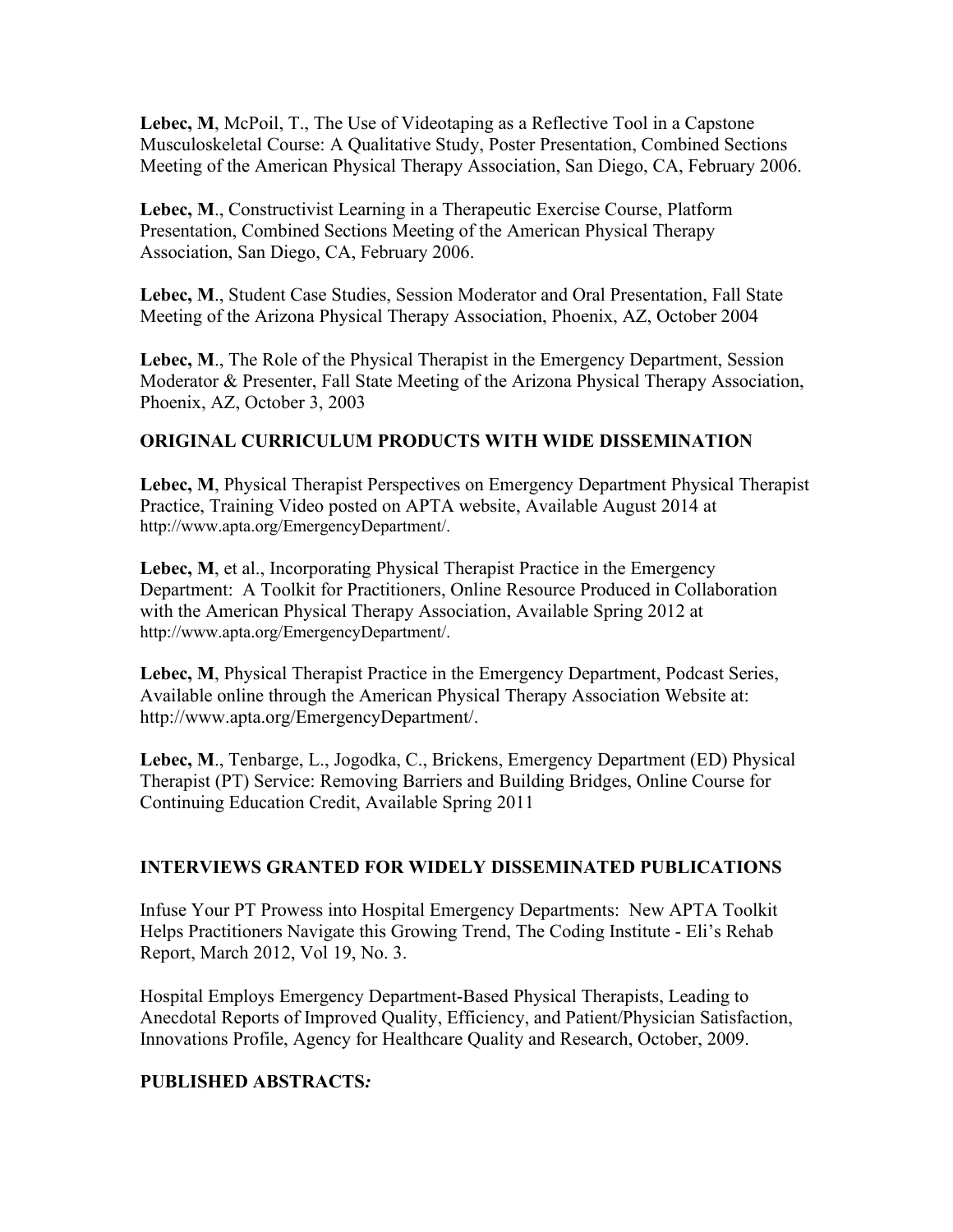**Lebec, M**, McPoil, T., The Use of Videotaping as a Reflective Tool in a Capstone Musculoskeletal Course: A Qualitative Study, Poster Presentation, Combined Sections Meeting of the American Physical Therapy Association, San Diego, CA, February 2006.

**Lebec, M**., Constructivist Learning in a Therapeutic Exercise Course, Platform Presentation, Combined Sections Meeting of the American Physical Therapy Association, San Diego, CA, February 2006.

**Lebec, M**., Student Case Studies, Session Moderator and Oral Presentation, Fall State Meeting of the Arizona Physical Therapy Association, Phoenix, AZ, October 2004

**Lebec, M**., The Role of the Physical Therapist in the Emergency Department, Session Moderator & Presenter, Fall State Meeting of the Arizona Physical Therapy Association, Phoenix, AZ, October 3, 2003

## **ORIGINAL CURRICULUM PRODUCTS WITH WIDE DISSEMINATION**

**Lebec, M**, Physical Therapist Perspectives on Emergency Department Physical Therapist Practice, Training Video posted on APTA website, Available August 2014 at http://www.apta.org/EmergencyDepartment/.

Lebec, M, et al., Incorporating Physical Therapist Practice in the Emergency Department: A Toolkit for Practitioners, Online Resource Produced in Collaboration with the American Physical Therapy Association, Available Spring 2012 at http://www.apta.org/EmergencyDepartment/.

**Lebec, M**, Physical Therapist Practice in the Emergency Department, Podcast Series, Available online through the American Physical Therapy Association Website at: http://www.apta.org/EmergencyDepartment/.

**Lebec, M**., Tenbarge, L., Jogodka, C., Brickens, Emergency Department (ED) Physical Therapist (PT) Service: Removing Barriers and Building Bridges, Online Course for Continuing Education Credit, Available Spring 2011

## **INTERVIEWS GRANTED FOR WIDELY DISSEMINATED PUBLICATIONS**

Infuse Your PT Prowess into Hospital Emergency Departments: New APTA Toolkit Helps Practitioners Navigate this Growing Trend, The Coding Institute - Eli's Rehab Report, March 2012, Vol 19, No. 3.

Hospital Employs Emergency Department-Based Physical Therapists, Leading to Anecdotal Reports of Improved Quality, Efficiency, and Patient/Physician Satisfaction, Innovations Profile, Agency for Healthcare Quality and Research, October, 2009.

### **PUBLISHED ABSTRACTS***:*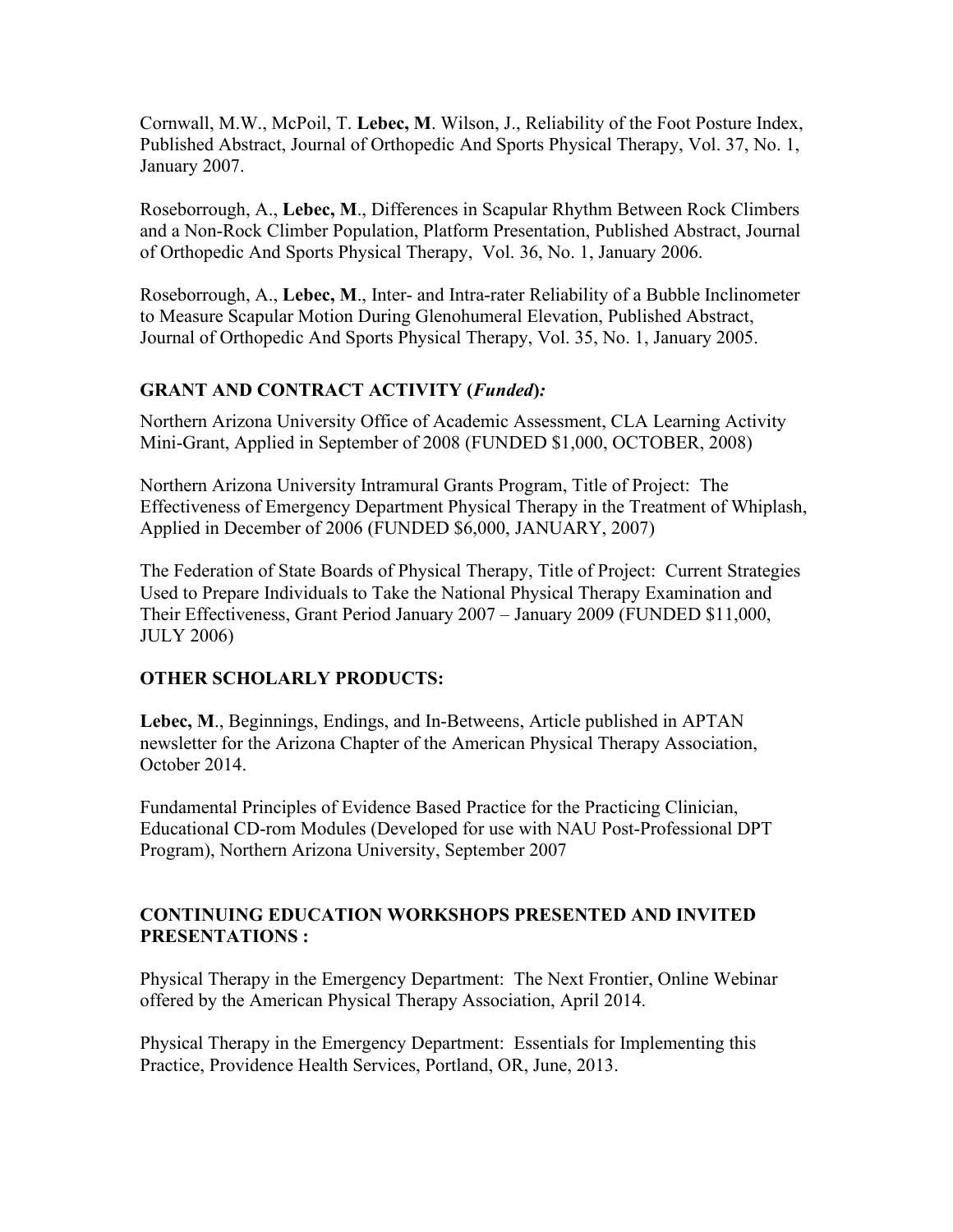Cornwall, M.W., McPoil, T. **Lebec, M**. Wilson, J., Reliability of the Foot Posture Index, Published Abstract, Journal of Orthopedic And Sports Physical Therapy, Vol. 37, No. 1, January 2007.

Roseborrough, A., **Lebec, M**., Differences in Scapular Rhythm Between Rock Climbers and a Non-Rock Climber Population, Platform Presentation, Published Abstract, Journal of Orthopedic And Sports Physical Therapy, Vol. 36, No. 1, January 2006.

Roseborrough, A., **Lebec, M**., Inter- and Intra-rater Reliability of a Bubble Inclinometer to Measure Scapular Motion During Glenohumeral Elevation, Published Abstract, Journal of Orthopedic And Sports Physical Therapy, Vol. 35, No. 1, January 2005.

## **GRANT AND CONTRACT ACTIVITY (***Funded***)***:*

Northern Arizona University Office of Academic Assessment, CLA Learning Activity Mini-Grant, Applied in September of 2008 (FUNDED \$1,000, OCTOBER, 2008)

Northern Arizona University Intramural Grants Program, Title of Project: The Effectiveness of Emergency Department Physical Therapy in the Treatment of Whiplash, Applied in December of 2006 (FUNDED \$6,000, JANUARY, 2007)

The Federation of State Boards of Physical Therapy, Title of Project: Current Strategies Used to Prepare Individuals to Take the National Physical Therapy Examination and Their Effectiveness, Grant Period January 2007 – January 2009 (FUNDED \$11,000, JULY 2006)

## **OTHER SCHOLARLY PRODUCTS:**

**Lebec, M**., Beginnings, Endings, and In-Betweens, Article published in APTAN newsletter for the Arizona Chapter of the American Physical Therapy Association, October 2014.

Fundamental Principles of Evidence Based Practice for the Practicing Clinician, Educational CD-rom Modules (Developed for use with NAU Post-Professional DPT Program), Northern Arizona University, September 2007

## **CONTINUING EDUCATION WORKSHOPS PRESENTED AND INVITED PRESENTATIONS :**

Physical Therapy in the Emergency Department: The Next Frontier, Online Webinar offered by the American Physical Therapy Association, April 2014.

Physical Therapy in the Emergency Department: Essentials for Implementing this Practice, Providence Health Services, Portland, OR, June, 2013.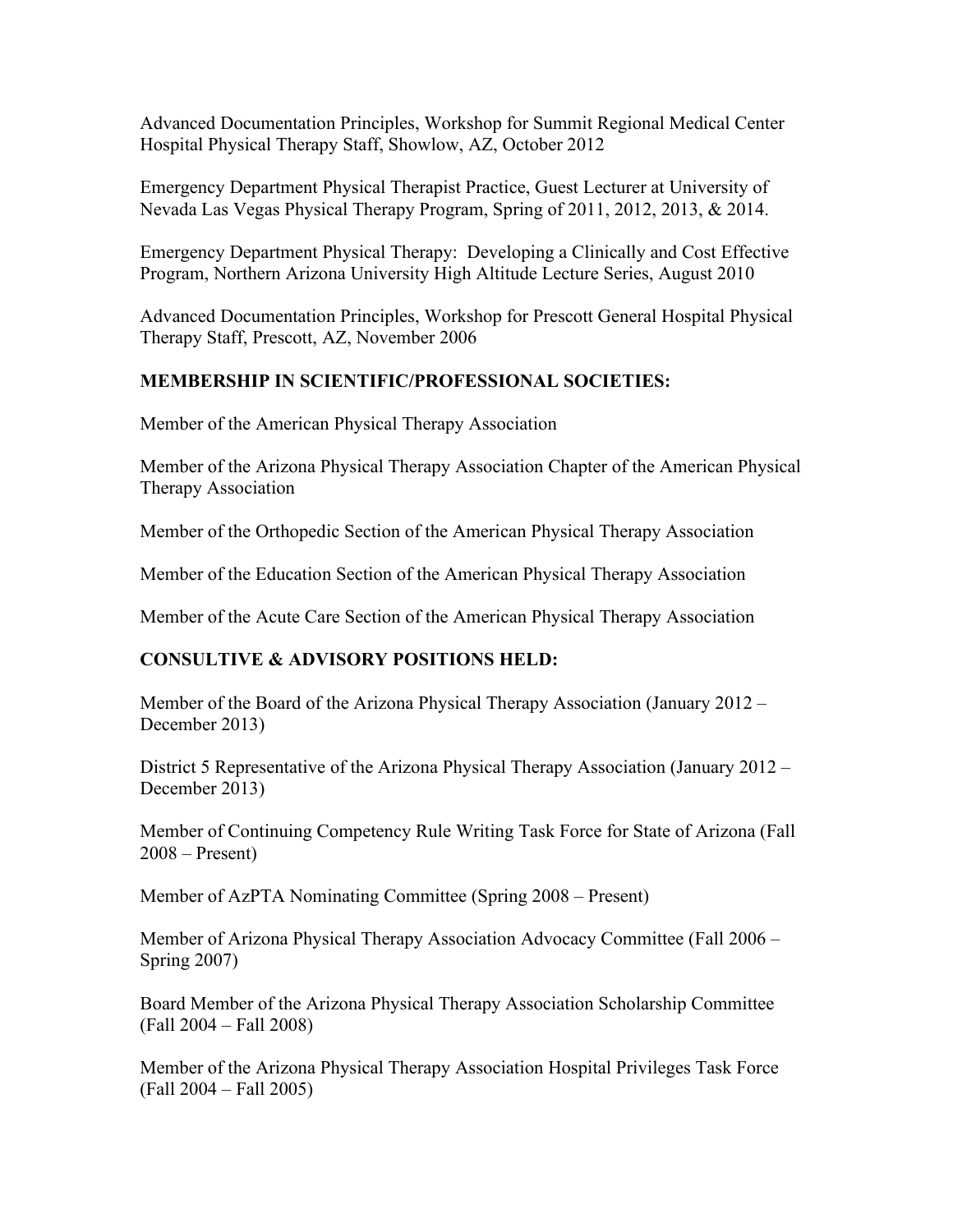Advanced Documentation Principles, Workshop for Summit Regional Medical Center Hospital Physical Therapy Staff, Showlow, AZ, October 2012

Emergency Department Physical Therapist Practice, Guest Lecturer at University of Nevada Las Vegas Physical Therapy Program, Spring of 2011, 2012, 2013, & 2014.

Emergency Department Physical Therapy: Developing a Clinically and Cost Effective Program, Northern Arizona University High Altitude Lecture Series, August 2010

Advanced Documentation Principles, Workshop for Prescott General Hospital Physical Therapy Staff, Prescott, AZ, November 2006

## **MEMBERSHIP IN SCIENTIFIC/PROFESSIONAL SOCIETIES:**

Member of the American Physical Therapy Association

Member of the Arizona Physical Therapy Association Chapter of the American Physical Therapy Association

Member of the Orthopedic Section of the American Physical Therapy Association

Member of the Education Section of the American Physical Therapy Association

Member of the Acute Care Section of the American Physical Therapy Association

### **CONSULTIVE & ADVISORY POSITIONS HELD:**

Member of the Board of the Arizona Physical Therapy Association (January 2012 – December 2013)

District 5 Representative of the Arizona Physical Therapy Association (January 2012 – December 2013)

Member of Continuing Competency Rule Writing Task Force for State of Arizona (Fall 2008 – Present)

Member of AzPTA Nominating Committee (Spring 2008 – Present)

Member of Arizona Physical Therapy Association Advocacy Committee (Fall 2006 – Spring 2007)

Board Member of the Arizona Physical Therapy Association Scholarship Committee (Fall 2004 – Fall 2008)

Member of the Arizona Physical Therapy Association Hospital Privileges Task Force (Fall 2004 – Fall 2005)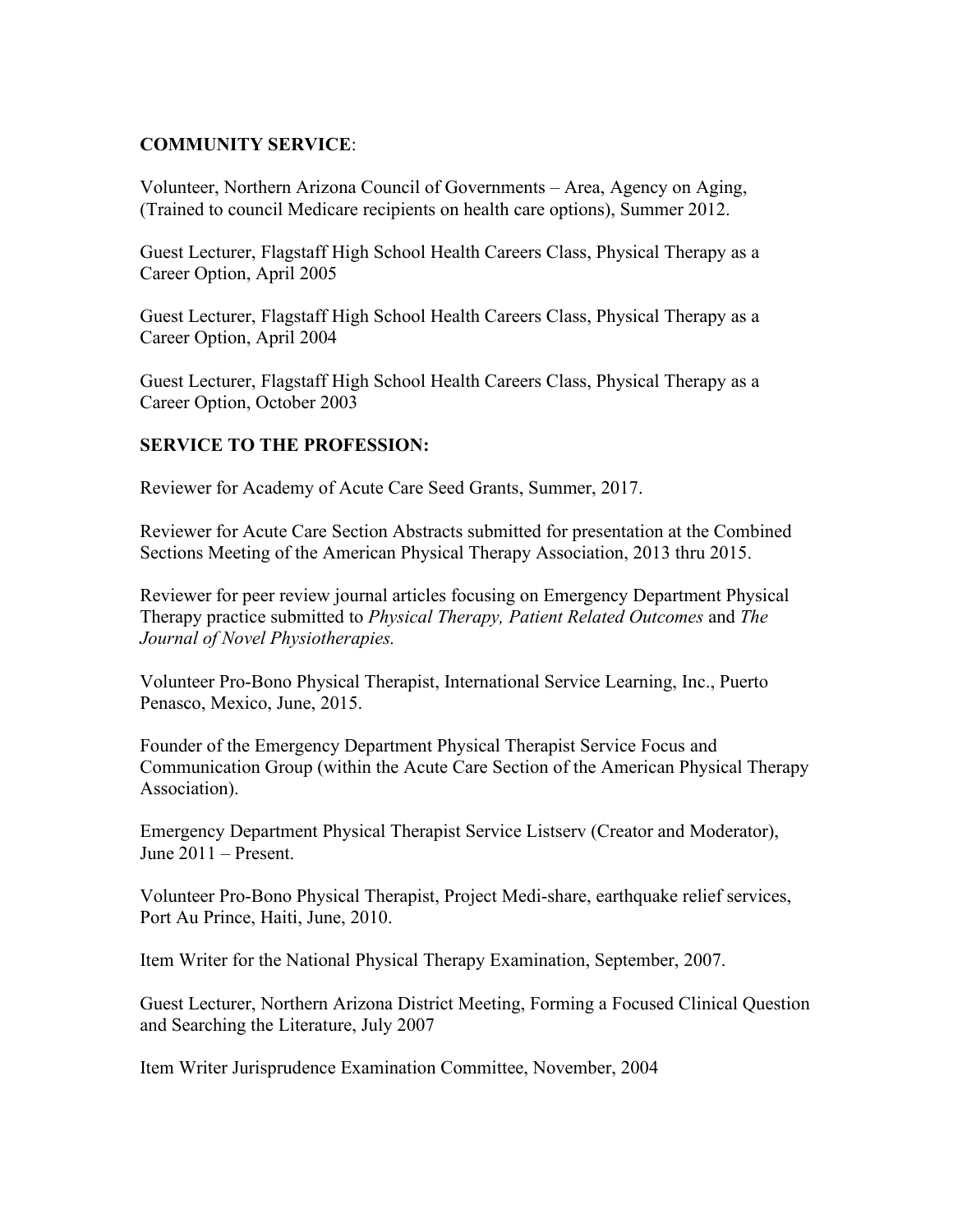## **COMMUNITY SERVICE**:

Volunteer, Northern Arizona Council of Governments – Area, Agency on Aging, (Trained to council Medicare recipients on health care options), Summer 2012.

Guest Lecturer, Flagstaff High School Health Careers Class, Physical Therapy as a Career Option, April 2005

Guest Lecturer, Flagstaff High School Health Careers Class, Physical Therapy as a Career Option, April 2004

Guest Lecturer, Flagstaff High School Health Careers Class, Physical Therapy as a Career Option, October 2003

## **SERVICE TO THE PROFESSION:**

Reviewer for Academy of Acute Care Seed Grants, Summer, 2017.

Reviewer for Acute Care Section Abstracts submitted for presentation at the Combined Sections Meeting of the American Physical Therapy Association, 2013 thru 2015.

Reviewer for peer review journal articles focusing on Emergency Department Physical Therapy practice submitted to *Physical Therapy, Patient Related Outcomes* and *The Journal of Novel Physiotherapies.*

Volunteer Pro-Bono Physical Therapist, International Service Learning, Inc., Puerto Penasco, Mexico, June, 2015.

Founder of the Emergency Department Physical Therapist Service Focus and Communication Group (within the Acute Care Section of the American Physical Therapy Association).

Emergency Department Physical Therapist Service Listserv (Creator and Moderator), June 2011 – Present.

Volunteer Pro-Bono Physical Therapist, Project Medi-share, earthquake relief services, Port Au Prince, Haiti, June, 2010.

Item Writer for the National Physical Therapy Examination, September, 2007.

Guest Lecturer, Northern Arizona District Meeting, Forming a Focused Clinical Question and Searching the Literature, July 2007

Item Writer Jurisprudence Examination Committee, November, 2004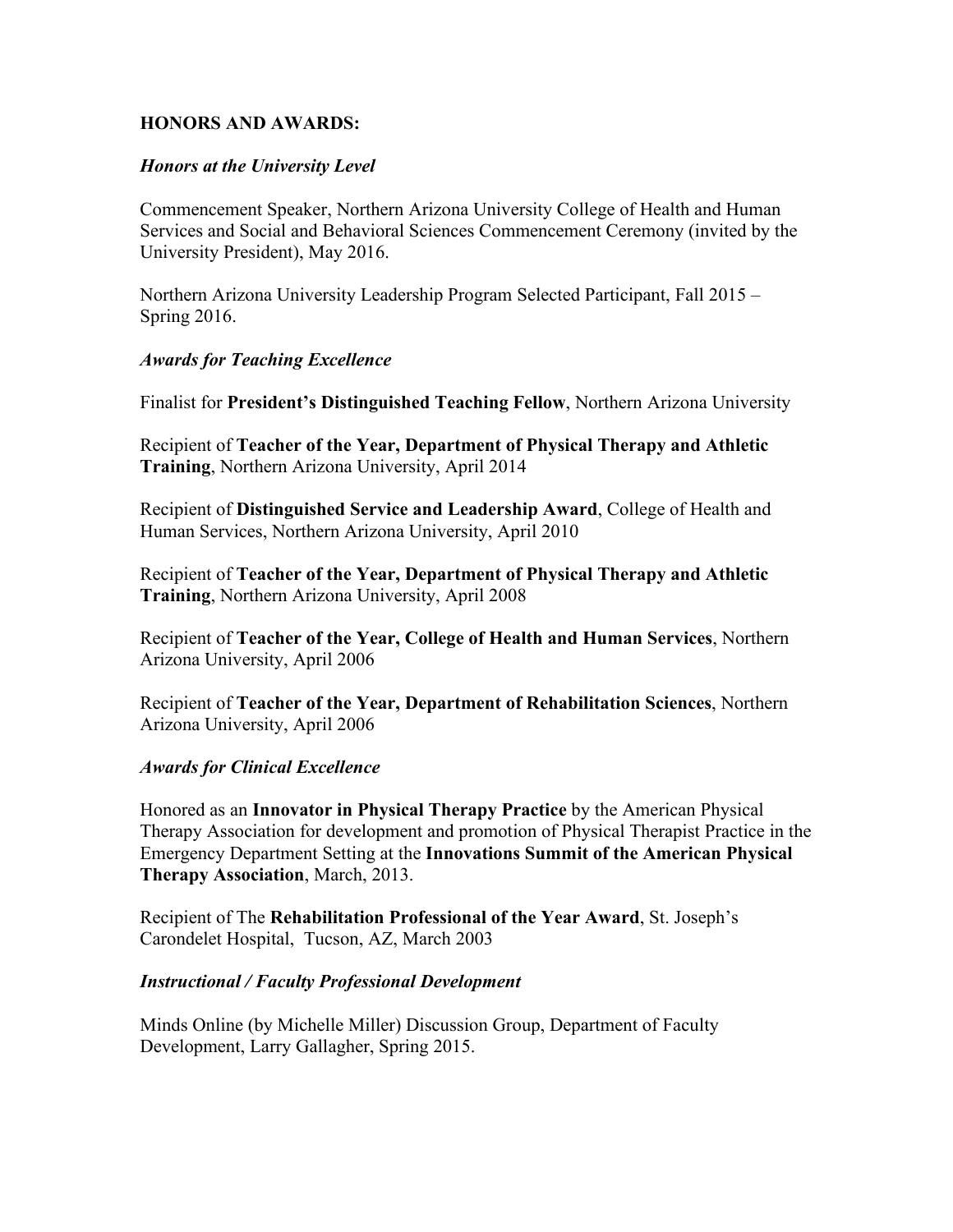### **HONORS AND AWARDS:**

### *Honors at the University Level*

Commencement Speaker, Northern Arizona University College of Health and Human Services and Social and Behavioral Sciences Commencement Ceremony (invited by the University President), May 2016.

Northern Arizona University Leadership Program Selected Participant, Fall 2015 – Spring 2016.

#### *Awards for Teaching Excellence*

Finalist for **President's Distinguished Teaching Fellow**, Northern Arizona University

Recipient of **Teacher of the Year, Department of Physical Therapy and Athletic Training**, Northern Arizona University, April 2014

Recipient of **Distinguished Service and Leadership Award**, College of Health and Human Services, Northern Arizona University, April 2010

Recipient of **Teacher of the Year, Department of Physical Therapy and Athletic Training**, Northern Arizona University, April 2008

Recipient of **Teacher of the Year, College of Health and Human Services**, Northern Arizona University, April 2006

Recipient of **Teacher of the Year, Department of Rehabilitation Sciences**, Northern Arizona University, April 2006

#### *Awards for Clinical Excellence*

Honored as an **Innovator in Physical Therapy Practice** by the American Physical Therapy Association for development and promotion of Physical Therapist Practice in the Emergency Department Setting at the **Innovations Summit of the American Physical Therapy Association**, March, 2013.

Recipient of The **Rehabilitation Professional of the Year Award**, St. Joseph's Carondelet Hospital, Tucson, AZ, March 2003

#### *Instructional / Faculty Professional Development*

Minds Online (by Michelle Miller) Discussion Group, Department of Faculty Development, Larry Gallagher, Spring 2015.